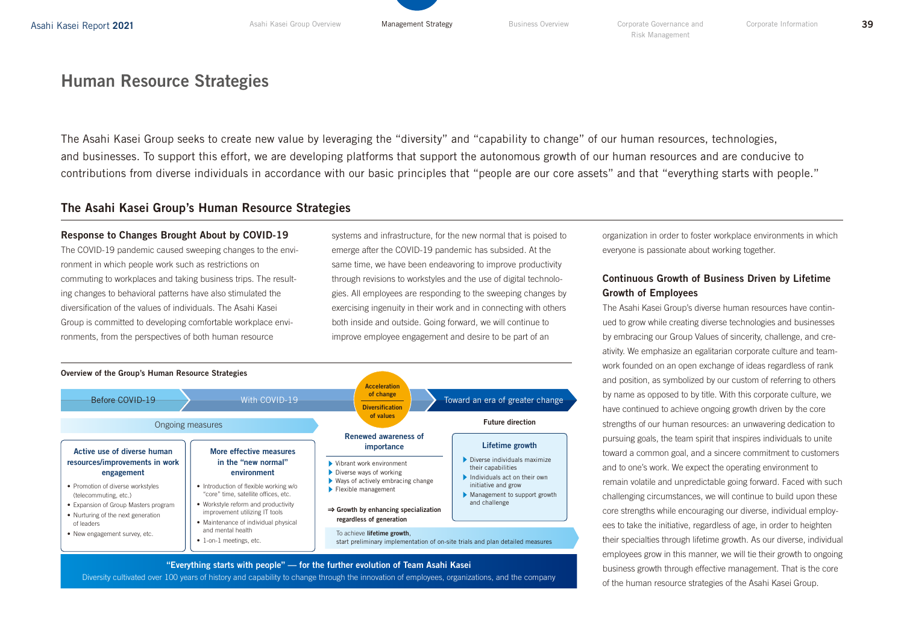# Human Resource Strategies

The Asahi Kasei Group seeks to create new value by leveraging the "diversity" and "capability to change" of our human resources, technologies, and businesses. To support this effort, we are developing platforms that support the autonomous growth of our human resources and are conducive to contributions from diverse individuals in accordance with our basic principles that "people are our core assets" and that "everything starts with people."

## The Asahi Kasei Group's Human Resource Strategies

## Response to Changes Brought About by COVID-19

The COVID-19 pandemic caused sweeping changes to the environment in which people work such as restrictions on commuting to workplaces and taking business trips. The resulting changes to behavioral patterns have also stimulated the diversification of the values of individuals. The Asahi Kasei Group is committed to developing comfortable workplace environments, from the perspectives of both human resource

systems and infrastructure, for the new normal that is poised to emerge after the COVID-19 pandemic has subsided. At the same time, we have been endeavoring to improve productivity through revisions to workstyles and the use of digital technologies. All employees are responding to the sweeping changes by exercising ingenuity in their work and in connecting with others both inside and outside. Going forward, we will continue to improve employee engagement and desire to be part of an



## "Everything starts with people" — for the further evolution of Team Asahi Kasei Diversity cultivated over 100 years of history and capability to change through the innovation of employees, organizations, and the company

organization in order to foster workplace environments in which everyone is passionate about working together.

## Continuous Growth of Business Driven by Lifetime Growth of Employees

The Asahi Kasei Group's diverse human resources have continued to grow while creating diverse technologies and businesses by embracing our Group Values of sincerity, challenge, and creativity. We emphasize an egalitarian corporate culture and teamwork founded on an open exchange of ideas regardless of rank and position, as symbolized by our custom of referring to others by name as opposed to by title. With this corporate culture, we have continued to achieve ongoing growth driven by the core strengths of our human resources: an unwavering dedication to pursuing goals, the team spirit that inspires individuals to unite toward a common goal, and a sincere commitment to customers and to one's work. We expect the operating environment to remain volatile and unpredictable going forward. Faced with such challenging circumstances, we will continue to build upon these core strengths while encouraging our diverse, individual employees to take the initiative, regardless of age, in order to heighten their specialties through lifetime growth. As our diverse, individual employees grow in this manner, we will tie their growth to ongoing business growth through effective management. That is the core of the human resource strategies of the Asahi Kasei Group.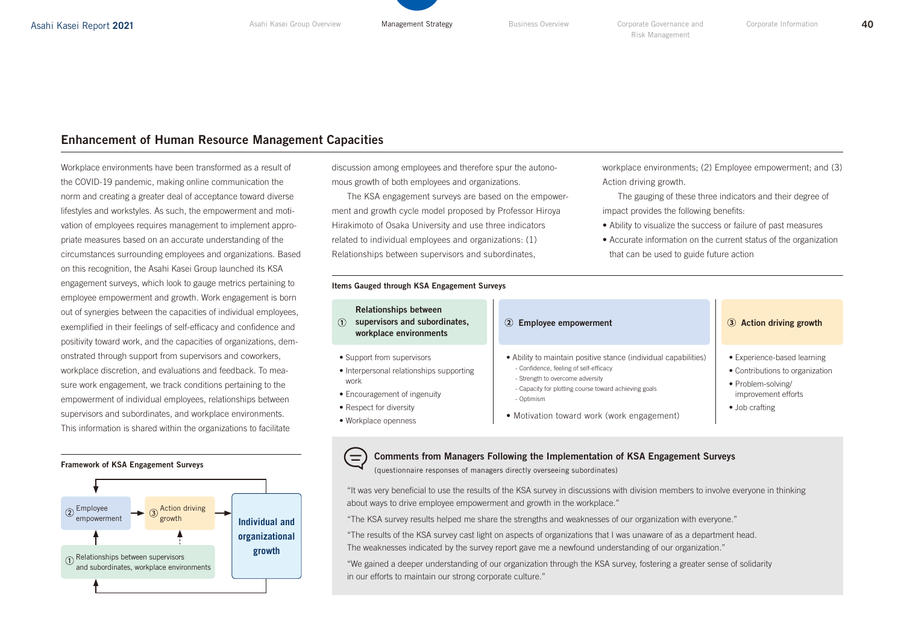Action driving growth.

impact provides the following benefits:

that can be used to guide future action

# Enhancement of Human Resource Management Capacities

Workplace environments have been transformed as a result of the COVID-19 pandemic, making online communication the norm and creating a greater deal of acceptance toward diverse lifestyles and workstyles. As such, the empowerment and motivation of employees requires management to implement appropriate measures based on an accurate understanding of the circumstances surrounding employees and organizations. Based on this recognition, the Asahi Kasei Group launched its KSA engagement surveys, which look to gauge metrics pertaining to employee empowerment and growth. Work engagement is born out of synergies between the capacities of individual employees, exemplified in their feelings of self-efficacy and confidence and positivity toward work, and the capacities of organizations, demonstrated through support from supervisors and coworkers, workplace discretion, and evaluations and feedback. To measure work engagement, we track conditions pertaining to the empowerment of individual employees, relationships between supervisors and subordinates, and workplace environments. This information is shared within the organizations to facilitate

### Framework of KSA Engagement Surveys



discussion among employees and therefore spur the autonomous growth of both employees and organizations.

The KSA engagement surveys are based on the empowerment and growth cycle model proposed by Professor Hiroya Hirakimoto of Osaka University and use three indicators related to individual employees and organizations: (1) Relationships between supervisors and subordinates,

#### Items Gauged through KSA Engagement Surveys

#### Relationships between

- $\bigcap$ supervisors and subordinates, workplace environments
- Support from supervisors
- Interpersonal relationships supporting work
- Encouragement of ingenuity
- Respect for diversity
- Workplace openness

#### Employee empowerment

- Ability to maintain positive stance (individual capabilities) - Confidence, feeling of self-efficacy
	- Strength to overcome adversity
	- Capacity for plotting course toward achieving goals
- Optimism
- Motivation toward work (work engagement)

#### Action driving growth

- Experience-based learning
- Contributions to organization
- Problem-solving/ improvement efforts
- Job crafting

workplace environments; (2) Employee empowerment; and (3)

The gauging of these three indicators and their degree of

• Ability to visualize the success or failure of past measures • Accurate information on the current status of the organization

#### Comments from Managers Following the Implementation of KSA Engagement Surveys (=

(questionnaire responses of managers directly overseeing subordinates)

"It was very beneficial to use the results of the KSA survey in discussions with division members to involve everyone in thinking about ways to drive employee empowerment and growth in the workplace."

"The KSA survey results helped me share the strengths and weaknesses of our organization with everyone."

"The results of the KSA survey cast light on aspects of organizations that I was unaware of as a department head. The weaknesses indicated by the survey report gave me a newfound understanding of our organization."

"We gained a deeper understanding of our organization through the KSA survey, fostering a greater sense of solidarity in our efforts to maintain our strong corporate culture."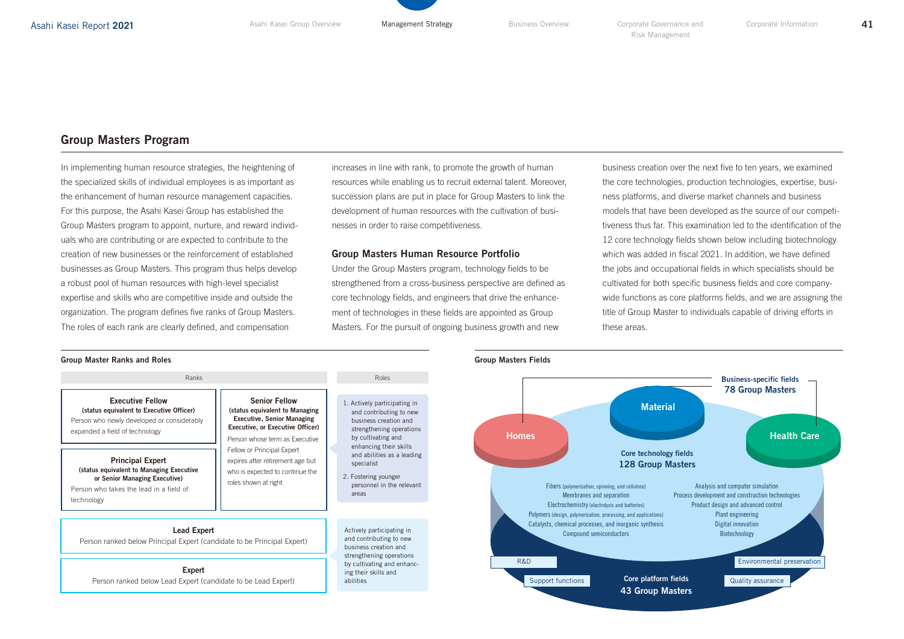## Group Masters Program

In implementing human resource strategies, the heightening of the specialized skills of individual employees is as important as the enhancement of human resource management capacities. For this purpose, the Asahi Kasei Group has established the Group Masters program to appoint, nurture, and reward individuals who are contributing or are expected to contribute to the creation of new businesses or the reinforcement of established businesses as Group Masters. This program thus helps develop a robust pool of human resources with high-level specialist expertise and skills who are competitive inside and outside the organization. The program defines five ranks of Group Masters. The roles of each rank are clearly defined, and compensation

increases in line with rank, to promote the growth of human resources while enabling us to recruit external talent. Moreover, succession plans are put in place for Group Masters to link the development of human resources with the cultivation of businesses in order to raise competitiveness.

### Group Masters Human Resource Portfolio

Under the Group Masters program, technology fields to be strengthened from a cross-business perspective are defined as core technology fields, and engineers that drive the enhancement of technologies in these fields are appointed as Group Masters. For the pursuit of ongoing business growth and new

business creation over the next five to ten years, we examined the core technologies, production technologies, expertise, business platforms, and diverse market channels and business models that have been developed as the source of our competitiveness thus far. This examination led to the identification of the 12 core technology fields shown below including biotechnology which was added in fiscal 2021. In addition, we have defined the jobs and occupational fields in which specialists should be cultivated for both specific business fields and core companywide functions as core platforms fields, and we are assigning the title of Group Master to individuals capable of driving efforts in these areas.

#### Group Master Ranks and Roles Group Masters Fields